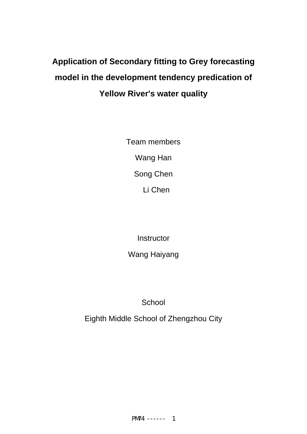# **Application of Secondary fitting to Grey forecasting model in the development tendency predication of Yellow River's water quality**

Team members Wang Han Song Chen Li Chen

**Instructor** 

Wang Haiyang

**School** 

Eighth Middle School of Zhengzhou City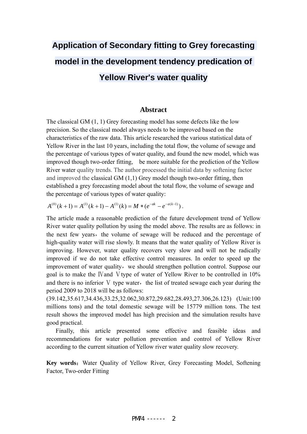# **Application of Secondary fitting to Grey forecasting model in the development tendency predication of Yellow River's water quality**

### **Abstract**

The classical GM (1, 1) Grey forecasting model has some defects like the low precision. So the classical model always needs to be improved based on the characteristics of the raw data. This article researched the various statistical data of Yellow River in the last 10 years, including the total flow, the volume of sewage and the percentage of various types of water quality, and found the new model, which was improved though two-order fitting, be more suitable for the prediction of the Yellow River water quality trends. The author processed the initial data by softening factor and improved the classical GM (1,1) Grey model though two-order fitting, then established a grey forecasting model about the total flow, the volume of sewage and the percentage of various types of water quality:

 $A^{(0)}(k+1) = A^{(1)}(k+1) - A^{(1)}(k) = M * (e^{-ak} - e^{-a(k-1)})$ .

The article made a reasonable prediction of the future development trend of Yellow River water quality pollution by using the model above. The results are as follows: in the next few years, the volume of sewage will be reduced and the percentage of high-quality water will rise slowly. It means that the water quality of Yellow River is improving. However, water quality recovers very slow and will not be radically improved if we do not take effective control measures. In order to speed up the improvement of water quality, we should strengthen pollution control. Suppose our goal is to make the IV and V type of water of Yellow River to be controlled in  $10\%$ and there is no inferior  $V$  type water, the list of treated sewage each year during the period 2009 to 2018 will be as follows:

(39.142,35.617,34.436,33.25,32.062,30.872,29.682,28.493,27.306,26.123) (Unit:100 millions tons) and the total domestic sewage will be 15779 million tons. The test result shows the improved model has high precision and the simulation results have good practical.

Finally, this article presented some effective and feasible ideas and recommendations for water pollution prevention and control of Yellow River according to the current situation of Yellow river water quality slow recovery.

**Key words:** Water Quality of Yellow River, Grey Forecasting Model, Softening Factor, Two-order Fitting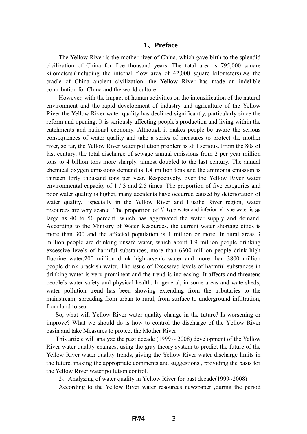#### **1**、**Preface**

The Yellow River is the mother river of China, which gave birth to the splendid civilization of China for five thousand years. The total area is 795,000 square kilometers.(including the internal flow area of 42,000 square kilometers).As the cradle of China ancient civilization, the Yellow River has made an indelible contribution for China and the world culture.

However, with the impact of human activities on the intensification of the natural environment and the rapid development of industry and agriculture of the Yellow River the Yellow River water quality has declined significantly, particularly since the reform and opening. It is seriously affecting people's production and living within the catchments and national economy. Although it makes people be aware the serious consequences of water quality and take a series of measures to protect the mother river, so far, the Yellow River water pollution problem is still serious. From the 80s of last century, the total discharge of sewage annual emissions from 2 per year million tons to 4 billion tons more sharply, almost doubled to the last century. The annual chemical oxygen emissions demand is 1.4 million tons and the ammonia emission is thirteen forty thousand tons per year. Respectively, over the Yellow River water environmental capacity of 1 / 3 and 2.5 times. The proportion of five categories and poor water quality is higher, many accidents have occurred caused by deterioration of water quality. Especially in the Yellow River and Huaihe River region, water resources are very scarce. The proportion of  $V$  type water and inferior  $V$  type water is as large as 40 to 50 percent, which has aggravated the water supply and demand. According to the Ministry of Water Resources, the current water shortage cities is more than 300 and the affected population is 1 million or more. In rural areas 3 million people are drinking unsafe water, which about 1.9 million people drinking excessive levels of harmful substances, more than 6300 million people drink high fluorine water,200 million drink high-arsenic water and more than 3800 million people drink brackish water. The issue of Excessive levels of harmful substances in drinking water is very prominent and the trend is increasing. It affects and threatens people's water safety and physical health. In general, in some areas and watersheds, water pollution trend has been showing extending from the tributaries to the mainstream, spreading from urban to rural, from surface to underground infiltration, from land to sea.

 So, what will Yellow River water quality change in the future? Is worsening or improve? What we should do is how to control the discharge of the Yellow River basin and take Measures to protect the Mother River.

This article will analyze the past decade  $(1999 \sim 2008)$  development of the Yellow River water quality changes, using the gray theory system to predict the future of the Yellow River water quality trends, giving the Yellow River water discharge limits in the future, making the appropriate comments and suggestions , providing the basis for the Yellow River water pollution control.

2、Analyzing of water quality in Yellow River for past decade(1999~2008)

According to the Yellow River water resources newspaper ,during the period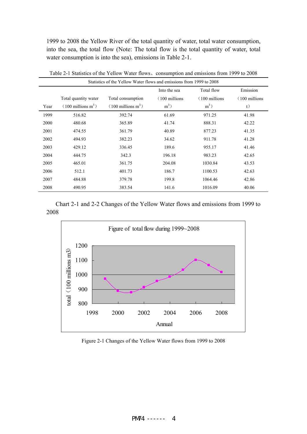1999 to 2008 the Yellow River of the total quantity of water, total water consumption, into the sea, the total flow (Note: The total flow is the total quantity of water, total water consumption is into the sea), emissions in Table 2-1.

|      | Statistics of the Yellow Water flows and emissions from 1999 to 2008 |                              |                          |                          |                          |  |  |  |  |
|------|----------------------------------------------------------------------|------------------------------|--------------------------|--------------------------|--------------------------|--|--|--|--|
|      |                                                                      |                              | Into the sea             | Total flow               | Emission                 |  |  |  |  |
|      | Total quantity water                                                 | Total consumption            | $(100 \text{ millions})$ | $(100 \text{ millions})$ | $(100 \text{ millions})$ |  |  |  |  |
| Year | $(100 \text{ millions m}^3)$                                         | $(100 \text{ millions m}^3)$ | $m^3$ )                  | $m^3$ )                  | t)                       |  |  |  |  |
| 1999 | 516.82                                                               | 392.74                       | 61.69                    | 971.25                   | 41.98                    |  |  |  |  |
| 2000 | 480.68                                                               | 365.89                       | 41.74                    | 888.31                   | 42.22                    |  |  |  |  |
| 2001 | 474.55                                                               | 361.79                       | 40.89                    | 877.23                   | 41.35                    |  |  |  |  |
| 2002 | 494.93                                                               | 382.23                       | 34.62                    | 911.78                   | 41.28                    |  |  |  |  |
| 2003 | 429.12                                                               | 336.45                       | 189.6                    | 955.17                   | 41.46                    |  |  |  |  |
| 2004 | 444.75                                                               | 342.3                        | 196.18                   | 983.23                   | 42.65                    |  |  |  |  |
| 2005 | 465.01                                                               | 361.75                       | 204.08                   | 1030.84                  | 43.53                    |  |  |  |  |
| 2006 | 512.1                                                                | 401.73                       | 186.7                    | 1100.53                  | 42.63                    |  |  |  |  |
| 2007 | 484.88                                                               | 379.78                       | 199.8                    | 1064.46                  | 42.86                    |  |  |  |  |
| 2008 | 490.95                                                               | 383.54                       | 141.6                    | 1016.09                  | 40.06                    |  |  |  |  |

Table 2-1 Statistics of the Yellow Water flows、consumption and emissions from 1999 to 2008

Chart 2-1 and 2-2 Changes of the Yellow Water flows and emissions from 1999 to 2008



Figure 2-1 Changes of the Yellow Water flows from 1999 to 2008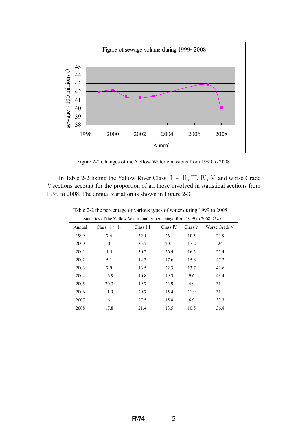

Figure 2-2 Changes of the Yellow Water emissions from 1999 to 2008

In Table 2-2 listing the Yellow River Class  $I \sim II$ , III, IV, V and worse Grade V sections account for the proportion of all those involved in statistical sections from 1999 to 2008. The annual variation is shown in Figure 2-3

|        | Statistics of the Yellow Water quality percentage from 1999 to 2008 (%) |           |          |         |               |  |  |  |  |  |
|--------|-------------------------------------------------------------------------|-----------|----------|---------|---------------|--|--|--|--|--|
| Annual | Class $I \sim II$                                                       | Class III | Class IV | Class V | Worse Grade V |  |  |  |  |  |
| 1999   | 7.4                                                                     | 32.1      | 26.1     | 10.5    | 23.9          |  |  |  |  |  |
| 2000   | 3                                                                       | 35.7      | 20.1     | 17.2    | 24            |  |  |  |  |  |
| 2001   | 1.5                                                                     | 30.2      | 26.4     | 16.5    | 25.4          |  |  |  |  |  |
| 2002   | 5.1                                                                     | 14.3      | 17.6     | 15.8    | 47.2          |  |  |  |  |  |
| 2003   | 7.9                                                                     | 13.5      | 22.3     | 13.7    | 42.6          |  |  |  |  |  |
| 2004   | 16.9                                                                    | 10.8      | 19.3     | 9.6     | 43.4          |  |  |  |  |  |
| 2005   | 20.3                                                                    | 19.7      | 23.9     | 4.9     | 31.1          |  |  |  |  |  |
| 2006   | 11.9                                                                    | 29.7      | 15.4     | 11.9    | 31.1          |  |  |  |  |  |
| 2007   | 16.1                                                                    | 27.5      | 15.8     | 6.9     | 33.7          |  |  |  |  |  |
| 2008   | 17.8                                                                    | 21.4      | 13.5     | 10.5    | 36.8          |  |  |  |  |  |

Table 2-2 the percentage of various types of water during 1999 to 2008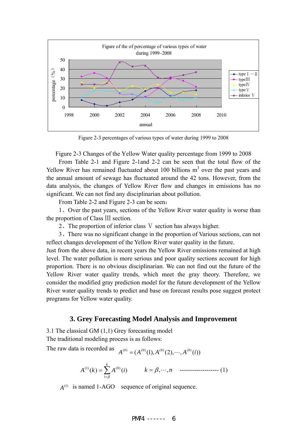

Figure 2-3 percentages of various types of water during 1999 to 2008

Figure 2-3 Changes of the Yellow Water quality percentage from 1999 to 2008

From Table 2-1 and Figure 2-1and 2-2 can be seen that the total flow of the Yellow River has remained fluctuated about 100 billions  $m<sup>3</sup>$  over the past years and the annual amount of sewage has fluctuated around the 42 tons. However, from the data analysis, the changes of Yellow River flow and changes in emissions has no significant. We can not find any disciplinarian about pollution.

From Table 2-2 and Figure 2-3 can be seen:

1、Over the past years, sections of the Yellow River water quality is worse than the proportion of Class Ⅲ section.

2、The proportion of inferior class Ⅴ section has always higher.

3、There was no significant change in the proportion of Various sections, can not reflect changes development of the Yellow River water quality in the future.

Just from the above data, in recent years the Yellow River emissions remained at high level. The water pollution is more serious and poor quality sections account for high proportion. There is no obvious disciplinarian. We can not find out the future of the Yellow River water quality trends, which meet the gray theory. Therefore, we consider the modified gray prediction model for the future development of the Yellow River water quality trends to predict and base on forecast results pose suggest protect programs for Yellow water quality.

#### **3. Grey Forecasting Model Analysis and Improvement**

3.1 The classical GM (1,1) Grey forecasting model

The traditional modeling process is as follows:

The raw data is recorded as  $A^{(0)} = (A^{(0)}(1), A^{(0)}(2), \dots, A^{(0)}(i))$ 

$$
A^{(1)}(k) = \sum_{i=\beta}^{k} A^{(0)}(i) \qquad k = \beta, \cdots, n \qquad \qquad \text{---}
$$
 (1)

 $A^{(1)}$  is named 1-AGO sequence of original sequence.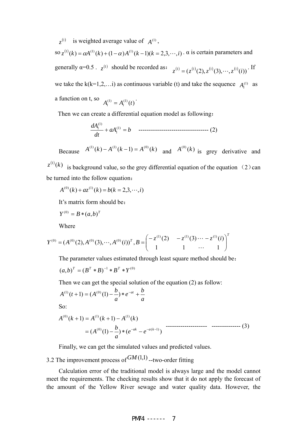$z^{(1)}$  is weighted average value of  $A^{(1)}$ , so  $z^{(1)}(k) = \alpha A^{(1)}(k) + (1 - \alpha)A^{(1)}(k-1)(k = 2,3,\dots, i)$ .  $\alpha$  is certain parameters and generally  $\alpha=0.5$ .  $z^{(1)}$  should be recorded as:  $z^{(1)} = (z^{(1)}(2), z^{(1)}(3), \dots, z^{(1)}(i))$ . If we take the  $k(k=1,2,...i)$  as continuous variable (t) and take the sequence  $A_i^{(1)}$  as a function on t, so  $A_i^{(1)} = A_i^{(1)}(t)$ .

Then we can create a differential equation model as following:

$$
\frac{dA_1^{(1)}}{dt} + aA_1^{(1)} = b \quad \text{---} \quad (2)
$$

Because  $A^{(1)}(k) - A^{(1)}(k-1) = A^{(0)}(k)$  and  $A^{(0)}(k)$  is grey derivative and

 $z^{(1)}(k)$  is background value, so the grey differential equation of the equation (2) can be turned into the follow equation:

 $A^{(0)}(k) + az^{(1)}(k) = b(k = 2,3,\dots, i)$ 

It's matrix form should be:

$$
Y^{(0)} = B \ast (a, b)^T
$$

Where

$$
Y^{(0)} = (A^{(0)}(2), A^{(0)}(3), \cdots, A^{(0)}(i))^T, B = \begin{pmatrix} -z^{(1)}(2) & -z^{(1)}(3) \cdots -z^{(1)}(i) \\ 1 & 1 & \cdots & 1 \end{pmatrix}^T
$$

The parameter values estimated through least square method should be:

$$
(a,b)^{T} = (B^{T} * B)^{-1} * B^{T} * Y^{(0)}
$$

Then we can get the special solution of the equation (2) as follow:

$$
A^{(1)}(t+1) = (A^{(0)}(1) - \frac{b}{a}) * e^{-at} + \frac{b}{a}
$$

So:

$$
A^{(0)}(k+1) = A^{(1)}(k+1) - A^{(1)}(k)
$$
  
=  $(A^{(0)}(1) - \frac{b}{a}) * (e^{-ak} - e^{-a(k-1)})$ 

Finally, we can get the simulated values and predicted values.

## 3.2 The improvement process of  $GM(1,1)$  --two-order fitting

Calculation error of the traditional model is always large and the model cannot meet the requirements. The checking results show that it do not apply the forecast of the amount of the Yellow River sewage and water quality data. However, the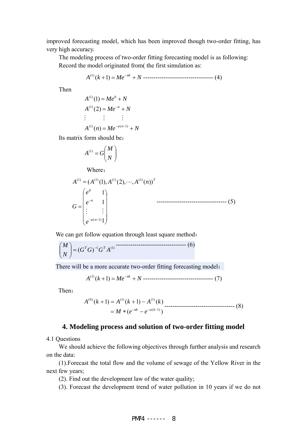improved forecasting model, which has been improved though two-order fitting, has very high accuracy.

The modeling process of two-order fitting forecasting model is as following: Record the model originated from( the first simulation as:

$$
A^{(1)}(k+1) = Me^{-ak} + N
$$
-----  
-----  
-----  
-----(4)

Then

 $A^{(1)}(n) = Me^{-a(n-1)} + N$  $A^{(1)}(2) = Me^{-a} + N$  $A^{(1)}(1) = Me^0 + N$ ###

Its matrix form should be:

$$
A^{(1)} = G \binom{M}{N}
$$

Where:

$$
A^{(1)} = (A^{(1)}(1), A^{(1)}(2), \cdots, A^{(1)}(n))^{T}
$$
  
\n
$$
G = \begin{pmatrix} e^{0} & 1 \\ e^{-a} & 1 \\ \vdots & \vdots \\ e^{-a(n-1)}1 \end{pmatrix}
$$

We can get follow equation through least square method:

$$
\binom{M}{N} = (G^T G)^{-1} G^T A^{(1)}
$$

There will be a more accurate two-order fitting forecasting model:

$$
A^{(1)}(k+1) = Me^{-ak} + N \cdots \cdots \cdots \cdots \cdots \cdots \cdots \cdots \cdots \cdots \cdots (7)
$$

Then:

$$
A^{(0)}(k+1) = A^{(1)}(k+1) - A^{(1)}(k)
$$
  
=  $M * (e^{-ak} - e^{-a(k-1)})$ 

### **4. Modeling process and solution of two-order fitting model**

4.1 Questions

We should achieve the following objectives through further analysis and research on the data:

(1).Forecast the total flow and the volume of sewage of the Yellow River in the next few years;

(2). Find out the development law of the water quality;

(3). Forecast the development trend of water pollution in 10 years if we do not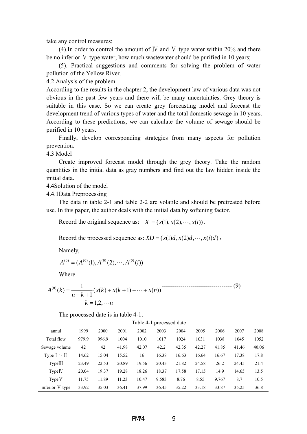take any control measures;

(4). In order to control the amount of  $W$  and  $V$  type water within 20% and there be no inferior V type water, how much wastewater should be purified in 10 years;

(5). Practical suggestions and comments for solving the problem of water pollution of the Yellow River.

4.2 Analysis of the problem

According to the results in the chapter 2, the development law of various data was not obvious in the past few years and there will be many uncertainties. Grey theory is suitable in this case. So we can create grey forecasting model and forecast the development trend of various types of water and the total domestic sewage in 10 years. According to these predictions, we can calculate the volume of sewage should be purified in 10 years.

Finally, develop corresponding strategies from many aspects for pollution prevention.

4.3 Model

 Create improved forecast model through the grey theory. Take the random quantities in the initial data as gray numbers and find out the law hidden inside the initial data.

4.4Solution of the model

4.4.1Data Preprocessing

The data in table 2-1 and table 2-2 are volatile and should be pretreated before use. In this paper, the author deals with the initial data by softening factor.

Record the original sequence as:  $X = (x(1), x(2), \dots, x(i))$ .

Record the processed sequence as:  $XD = (x(1)d, x(2)d, \dots, x(i)d)$ ,

Namely,

$$
A^{(0)} = (A^{(0)}(1), A^{(0)}(2), \cdots, A^{(0)}(i))
$$
.

Where

$$
A^{(0)}(k) = \frac{1}{n-k+1} (x(k) + x(k+1) + \dots + x(n))
$$
  
  $k = 1, 2, \dots, n$  (9)

The processed date is in table 4-1.

| Table 4-1 processed date                                                      |       |       |       |       |       |       |       |       |       |       |
|-------------------------------------------------------------------------------|-------|-------|-------|-------|-------|-------|-------|-------|-------|-------|
| 1999<br>2003<br>2004<br>2000<br>2001<br>2002<br>2005<br>2006<br>2007<br>annul |       |       |       |       |       |       |       |       | 2008  |       |
| Total flow                                                                    | 979.9 | 996.9 | 1004  | 1010  | 1017  | 1024  | 1031  | 1038  | 1045  | 1052  |
| Sewage volume                                                                 | 42    | 42    | 41.98 | 42.07 | 42.2  | 42.35 | 42.27 | 41.85 | 41.46 | 40.06 |
| Type $I \sim II$                                                              | 14.62 | 15.04 | 15.52 | 16    | 16.38 | 16.63 | 16.64 | 16.67 | 17.38 | 17.8  |
| TypeIII                                                                       | 23.49 | 22.53 | 20.89 | 19.56 | 20.43 | 21.82 | 24.58 | 26.2  | 24.45 | 21.4  |
| Type IV                                                                       | 20.04 | 19.37 | 19.28 | 18.26 | 18.37 | 17.58 | 17.15 | 14.9  | 14.65 | 13.5  |
| Type V                                                                        | 11.75 | 11.89 | 11.23 | 10.47 | 9.583 | 8.76  | 8.55  | 9.767 | 8.7   | 10.5  |
| inferior V type                                                               | 33.92 | 35.03 | 36.41 | 37.99 | 36.45 | 35.22 | 33.18 | 33.87 | 35.25 | 36.8  |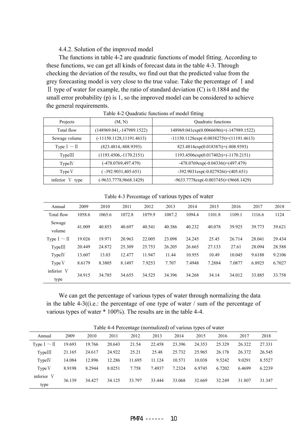#### 4.4.2. Solution of the improved model

The functions in table 4-2 are quadratic functions of model fitting. According to these functions, we can get all kinds of forecast data in the table 4-3. Through checking the deviation of the results, we find out that the predicted value from the grey forecasting model is very close to the true value. Take the percentage of  $\bar{1}$  and II type of water for example, the ratio of standard deviation  $(C)$  is 0.1884 and the small error probability (p) is 1, so the improved model can be considered to achieve the general requirements.

| Projects         | (M, N)                      | Quadratic functions                            |
|------------------|-----------------------------|------------------------------------------------|
| Total flow       | $(148969.041,-147989.1522)$ | 148969.041exp(0.0066696t)+(-147989.1522)       |
| Sewage volume    | $(-11150.1128, 11191.4613)$ | $-11150.1128 \exp(-0.0038275t) + (11191.4613)$ |
| Type $I \sim II$ | $(823.4814,-808.9393)$      | 823.4814exp(0.018387t)+(-808.9393)             |
| TypeIII          | $(1193.4506,-1170.2151)$    | $1193.4506 \exp(0.017402t) + (-1170.2151)$     |
| TypeIV           | (-478.0769,497.479)         | $-478.0769 \exp(-0.04336t)+(497.479)$          |
| TypeV            | $-392.9031,405.651$         | $-392.9031 \exp(-0.027926t) + (405.651)$       |
| inferior V type  | (-9633.7778,9668.1429)      | $-9633.7778 \exp(-0.003745t) + (9668.1429)$    |

Table 4-2 Quadratic functions of model fitting

#### Table 4-3 Percentage of various types of water

| Annual             | 2009   | 2010   | 2011   | 2012   | 2013   | 2014   | 2015   | 2016   | 2017   | 2018   |
|--------------------|--------|--------|--------|--------|--------|--------|--------|--------|--------|--------|
| Total flow         | 1058.6 | 1065.6 | 1072.8 | 1079.9 | 1087.2 | 1094.4 | 1101.8 | 1109.1 | 1116.6 | 1124   |
| Sewage<br>volume   | 41.009 | 40.853 | 40.697 | 40.541 | 40.386 | 40.232 | 40.078 | 39.925 | 39.773 | 39.621 |
| Type $I \sim II$   | 19.026 | 19.971 | 20.963 | 22,005 | 23.098 | 24.245 | 25.45  | 26.714 | 28.041 | 29.434 |
| TypeIII            | 20.449 | 24.872 | 25.309 | 25.753 | 26.205 | 26.665 | 27.133 | 27.61  | 28.094 | 28.588 |
| Type <sub>IV</sub> | 13.607 | 13.03  | 12.477 | 11.947 | 11.44  | 10.955 | 10.49  | 10.045 | 9.6188 | 9.2106 |
| Type V             | 8.6179 | 8.3805 | 8.1497 | 7.9253 | 7.707  | 7.4948 | 7.2884 | 7.0877 | 6.8925 | 6.7027 |
| inferior V<br>type | 34.915 | 34.785 | 34.655 | 34.525 | 34.396 | 34.268 | 34.14  | 34.012 | 33.885 | 33.758 |

We can get the percentage of various types of water through normalizing the data in the table 4-3((i.e.: the percentage of one type of water  $\ell$  sum of the percentage of various types of water \* 100%). The results are in the table 4-4.

| Table 4-4 Percentage (normalized) of various types of water |  |  |
|-------------------------------------------------------------|--|--|

|                  |        |        |        |        |        |        | $\overline{ }$ |        |        |        |  |
|------------------|--------|--------|--------|--------|--------|--------|----------------|--------|--------|--------|--|
| Annual           | 2009   | 2010   | 2011   | 2012   | 2013   | 2014   | 2015           | 2016   | 2017   | 2018   |  |
| Type $I \sim II$ | 19.693 | 19.766 | 20.643 | 21.54  | 22.458 | 23.396 | 24.353         | 25.329 | 26.322 | 27.331 |  |
| TypeIII          | 21.165 | 24.617 | 24.922 | 25.21  | 25.48  | 25.732 | 25.965         | 26.178 | 26.372 | 26.545 |  |
| TypeIV           | 14.084 | 12.896 | 12.286 | 11.695 | 11.124 | 10.571 | 10.038         | 9.5242 | 9.0291 | 8.5527 |  |
| Type V           | 8.9198 | 8.2944 | 8.0251 | 7.758  | 7.4937 | 7.2324 | 6.9745         | 6.7202 | 6.4699 | 6.2239 |  |
| inferior V       | 36.139 | 34.427 | 34.125 | 33.797 | 33.444 | 33.068 | 32.669         | 32.249 | 31.807 | 31.347 |  |
| type             |        |        |        |        |        |        |                |        |        |        |  |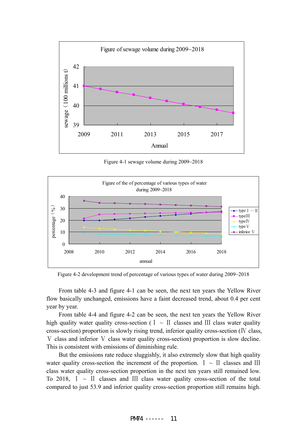

Figure 4-1 sewage volume during 2009~2018



Figure 4-2 development trend of percentage of various types of water during 2009~2018

From table 4-3 and figure 4-1 can be seen, the next ten years the Yellow River flow basically unchanged, emissions have a faint decreased trend, about 0.4 per cent year by year.

From table 4-4 and figure 4-2 can be seen, the next ten years the Yellow River high quality water quality cross-section (  $I \sim II$  classes and III class water quality cross-section) proportion is slowly rising trend, inferior quality cross-section ( $\Gamma$  class, V class and inferior V class water quality cross-section) proportion is slow decline. This is consistent with emissions of diminishing rule.

But the emissions rate reduce sluggishly, it also extremely slow that high quality water quality cross-section the increment of the proportion.  $I \sim II$  classes and III class water quality cross-section proportion in the next ten years still remained low. To 2018,  $I \sim II$  classes and III class water quality cross-section of the total compared to just 53.9 and inferior quality cross-section proportion still remains high.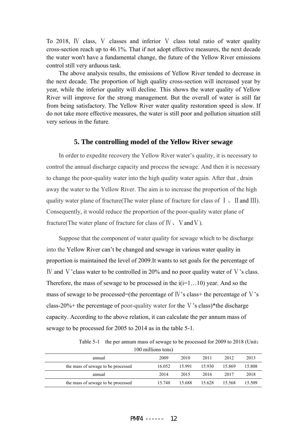To 2018, IV class, V classes and inferior V class total ratio of water quality cross-section reach up to 46.1%. That if not adopt effective measures, the next decade the water won't have a fundamental change, the future of the Yellow River emissions control still very arduous task.

The above analysis results, the emissions of Yellow River tended to decrease in the next decade. The proportion of high quality cross-section will increased year by year, while the inferior quality will decline. This shows the water quality of Yellow River will improve for the strong management. But the overall of water is still far from being satisfactory. The Yellow River water quality restoration speed is slow. If do not take more effective measures, the water is still poor and pollution situation still very serious in the future.

#### **5. The controlling model of the Yellow River sewage**

In order to expedite recovery the Yellow River water's quality, it is necessary to control the annual discharge capacity and process the sewage. And then it is necessary to change the poor-quality water into the high quality water again. After that , drain away the water to the Yellow River. The aim is to increase the proportion of the high quality water plane of fracture(The water plane of fracture for class of  $\bar{I}$ , II and III). Consequently, it would reduce the proportion of the poor-quality water plane of fracture(The water plane of fracture for class of  $W_1$ ,  $V$  and  $V$ ).

Suppose that the component of water quality for sewage which to be discharge into the Yellow River can't be changed and sewage in various water quality in proportion is maintained the level of 2009.It wants to set goals for the percentage of Ⅳ and Ⅴ'class water to be controlled in 20% and no poor quality water of Ⅴ's class. Therefore, the mass of sewage to be processed in the  $i(i=1...10)$  year. And so the mass of sewage to be processed=(the percentage of  $W$ 's class+ the percentage of  $V$ 's class-20%+ the percentage of poor-quality water for the V's class)\* the discharge capacity. According to the above relation, it can calculate the per annum mass of sewage to be processed for 2005 to 2014 as in the table 5-1.

Table 5-1 the per annum mass of sewage to be processed for 2009 to 2018 (Unit: 100 millions tons)

| annual                             | 2009   | 2010   | 2011   | 2012   | 2013   |
|------------------------------------|--------|--------|--------|--------|--------|
| the mass of sewage to be processed | 16.052 | 15.991 | 15.930 | 15.869 | 15.808 |
| annual                             | 2014   | 2015   | 2016   | 2017   | 2018   |
| the mass of sewage to be processed | 15.748 | 15.688 | 15.628 | 15.568 | 15.509 |
|                                    |        |        |        |        |        |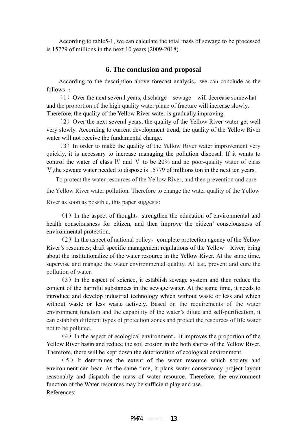According to table5-1, we can calculate the total mass of sewage to be processed is 15779 of millions in the next 10 years (2009-2018).

### **6. The conclusion and proposal**

According to the description above forecast analysis, we can conclude as the follows :

(1) Over the next several years, discharge sewage will decrease somewhat and the proportion of the high quality water plane of fracture will increase slowly. Therefore, the quality of the Yellow River water is gradually improving.

 $(2)$  Over the next several years, the quality of the Yellow River water get well very slowly. According to current development trend, the quality of the Yellow River water will not receive the fundamental change.

(3)In order to make the quality of the Yellow River water improvement very quickly, it is necessary to increase managing the pollution disposal. If it wants to control the water of class IV and V to be  $20\%$  and no poor-quality water of class Ⅴ,the sewage water needed to dispose is 15779 of millions ton in the next ten years.

To protect the water resources of the Yellow River, and then prevention and cure the Yellow River water pollution. Therefore to change the water quality of the Yellow River as soon as possible, this paper suggests:

 $(1)$  In the aspect of thought, strengthen the education of environmental and health consciousness for citizen, and then improve the citizen' consciousness of environmental protection.

 $(2)$  In the aspect of national policy, complete protection agency of the Yellow River's resources; draft specific management regulations of the Yellow River; bring about the institutionalize of the water resource in the Yellow River. At the same time, supervise and manage the water environmental quality. At last, prevent and cure the pollution of water.

 (3)In the aspect of science, it establish sewage system and then reduce the content of the harmful substances in the sewage water. At the same time, it needs to introduce and develop industrial technology which without waste or less and which without waste or less waste actively. Based on the requirements of the water environment function and the capability of the water's dilute and self-purification, it can establish different types of protection zones and protect the resources of life water not to be polluted.

 $(4)$  In the aspect of ecological environment, it improves the proportion of the Yellow River basin and reduce the soil erosion in the both shores of the Yellow River. Therefore, there will be kept down the deterioration of ecological environment.

(5)It determines the extent of the water resource which society and environment can bear. At the same time, it plans water conservancy project layout reasonably and dispatch the mass of water resource. Therefore, the environment function of the Water resources may be sufficient play and use. References: